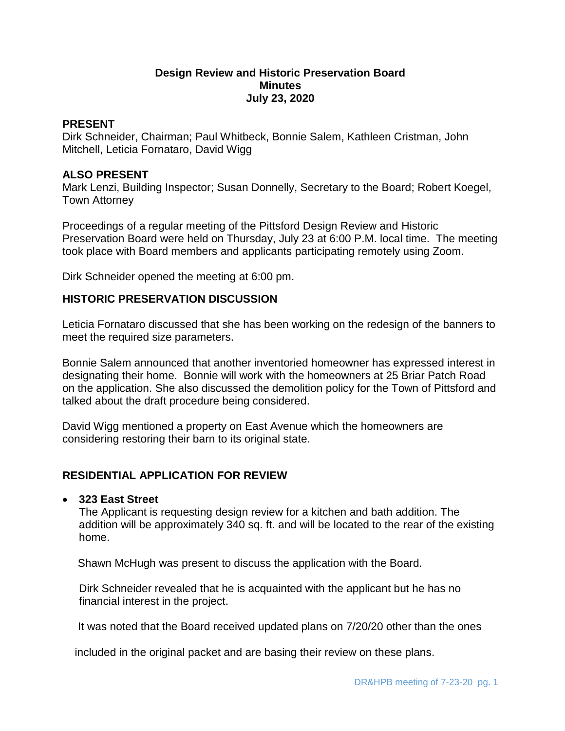## **Design Review and Historic Preservation Board Minutes July 23, 2020**

### **PRESENT**

Dirk Schneider, Chairman; Paul Whitbeck, Bonnie Salem, Kathleen Cristman, John Mitchell, Leticia Fornataro, David Wigg

### **ALSO PRESENT**

Mark Lenzi, Building Inspector; Susan Donnelly, Secretary to the Board; Robert Koegel, Town Attorney

Proceedings of a regular meeting of the Pittsford Design Review and Historic Preservation Board were held on Thursday, July 23 at 6:00 P.M. local time. The meeting took place with Board members and applicants participating remotely using Zoom.

Dirk Schneider opened the meeting at 6:00 pm.

## **HISTORIC PRESERVATION DISCUSSION**

Leticia Fornataro discussed that she has been working on the redesign of the banners to meet the required size parameters.

Bonnie Salem announced that another inventoried homeowner has expressed interest in designating their home. Bonnie will work with the homeowners at 25 Briar Patch Road on the application. She also discussed the demolition policy for the Town of Pittsford and talked about the draft procedure being considered.

David Wigg mentioned a property on East Avenue which the homeowners are considering restoring their barn to its original state.

## **RESIDENTIAL APPLICATION FOR REVIEW**

## **323 East Street**

The Applicant is requesting design review for a kitchen and bath addition. The addition will be approximately 340 sq. ft. and will be located to the rear of the existing home.

Shawn McHugh was present to discuss the application with the Board.

Dirk Schneider revealed that he is acquainted with the applicant but he has no financial interest in the project.

It was noted that the Board received updated plans on 7/20/20 other than the ones

included in the original packet and are basing their review on these plans.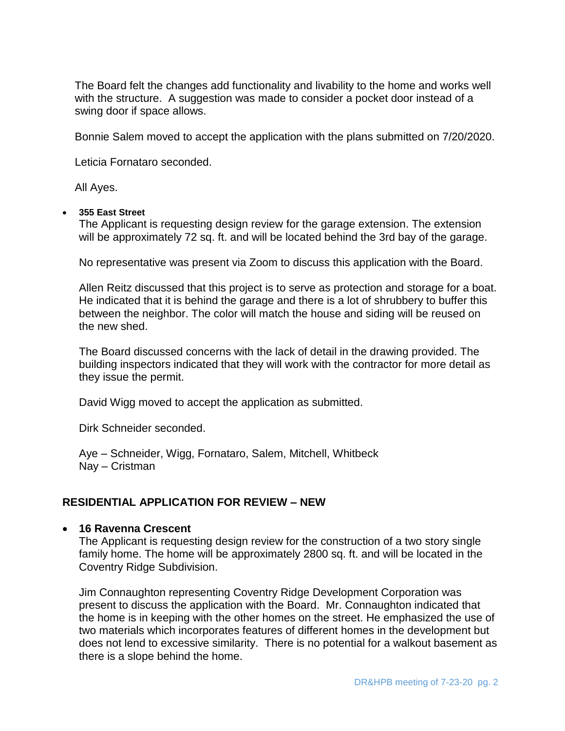The Board felt the changes add functionality and livability to the home and works well with the structure. A suggestion was made to consider a pocket door instead of a swing door if space allows.

Bonnie Salem moved to accept the application with the plans submitted on 7/20/2020.

Leticia Fornataro seconded.

All Ayes.

#### **355 East Street**

The Applicant is requesting design review for the garage extension. The extension will be approximately 72 sq. ft. and will be located behind the 3rd bay of the garage.

No representative was present via Zoom to discuss this application with the Board.

Allen Reitz discussed that this project is to serve as protection and storage for a boat. He indicated that it is behind the garage and there is a lot of shrubbery to buffer this between the neighbor. The color will match the house and siding will be reused on the new shed.

The Board discussed concerns with the lack of detail in the drawing provided. The building inspectors indicated that they will work with the contractor for more detail as they issue the permit.

David Wigg moved to accept the application as submitted.

Dirk Schneider seconded.

Aye – Schneider, Wigg, Fornataro, Salem, Mitchell, Whitbeck Nay – Cristman

## **RESIDENTIAL APPLICATION FOR REVIEW – NEW**

#### **16 Ravenna Crescent**

The Applicant is requesting design review for the construction of a two story single family home. The home will be approximately 2800 sq. ft. and will be located in the Coventry Ridge Subdivision.

Jim Connaughton representing Coventry Ridge Development Corporation was present to discuss the application with the Board. Mr. Connaughton indicated that the home is in keeping with the other homes on the street. He emphasized the use of two materials which incorporates features of different homes in the development but does not lend to excessive similarity. There is no potential for a walkout basement as there is a slope behind the home.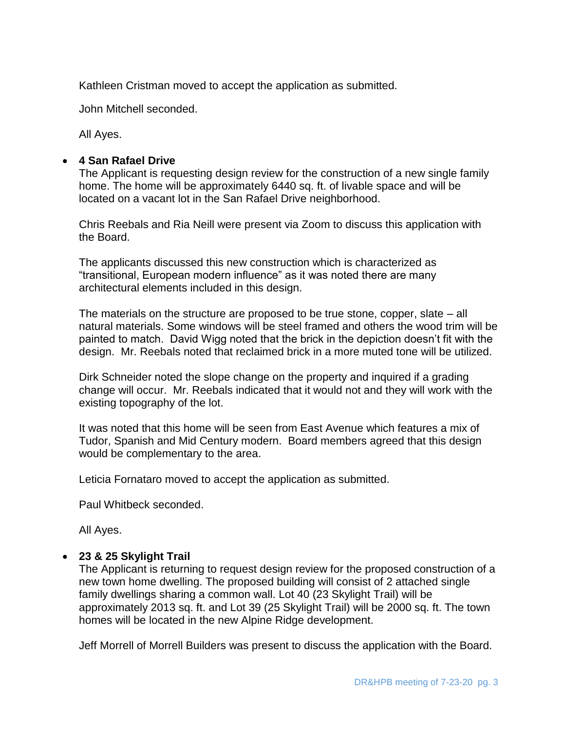Kathleen Cristman moved to accept the application as submitted.

John Mitchell seconded.

All Ayes.

## **4 San Rafael Drive**

The Applicant is requesting design review for the construction of a new single family home. The home will be approximately 6440 sq. ft. of livable space and will be located on a vacant lot in the San Rafael Drive neighborhood.

Chris Reebals and Ria Neill were present via Zoom to discuss this application with the Board.

The applicants discussed this new construction which is characterized as "transitional, European modern influence" as it was noted there are many architectural elements included in this design.

The materials on the structure are proposed to be true stone, copper, slate – all natural materials. Some windows will be steel framed and others the wood trim will be painted to match. David Wigg noted that the brick in the depiction doesn't fit with the design. Mr. Reebals noted that reclaimed brick in a more muted tone will be utilized.

Dirk Schneider noted the slope change on the property and inquired if a grading change will occur. Mr. Reebals indicated that it would not and they will work with the existing topography of the lot.

It was noted that this home will be seen from East Avenue which features a mix of Tudor, Spanish and Mid Century modern. Board members agreed that this design would be complementary to the area.

Leticia Fornataro moved to accept the application as submitted.

Paul Whitbeck seconded.

All Ayes.

## **23 & 25 Skylight Trail**

The Applicant is returning to request design review for the proposed construction of a new town home dwelling. The proposed building will consist of 2 attached single family dwellings sharing a common wall. Lot 40 (23 Skylight Trail) will be approximately 2013 sq. ft. and Lot 39 (25 Skylight Trail) will be 2000 sq. ft. The town homes will be located in the new Alpine Ridge development.

Jeff Morrell of Morrell Builders was present to discuss the application with the Board.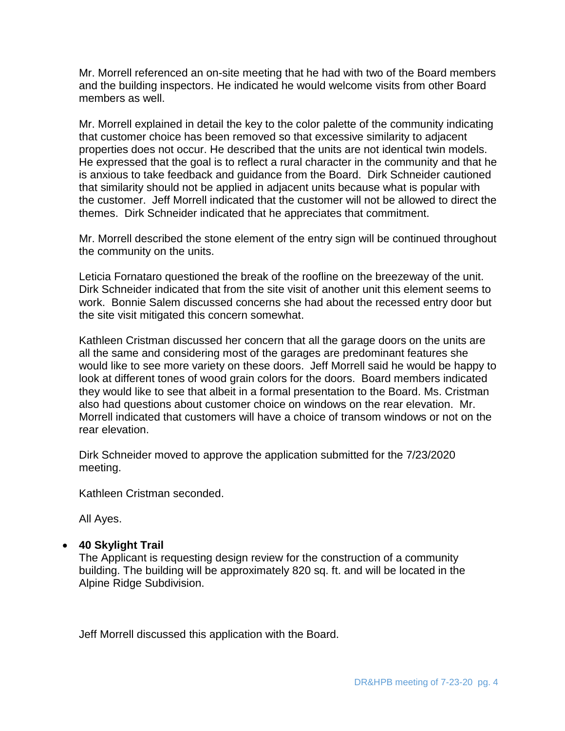Mr. Morrell referenced an on-site meeting that he had with two of the Board members and the building inspectors. He indicated he would welcome visits from other Board members as well.

Mr. Morrell explained in detail the key to the color palette of the community indicating that customer choice has been removed so that excessive similarity to adjacent properties does not occur. He described that the units are not identical twin models. He expressed that the goal is to reflect a rural character in the community and that he is anxious to take feedback and guidance from the Board. Dirk Schneider cautioned that similarity should not be applied in adjacent units because what is popular with the customer. Jeff Morrell indicated that the customer will not be allowed to direct the themes. Dirk Schneider indicated that he appreciates that commitment.

Mr. Morrell described the stone element of the entry sign will be continued throughout the community on the units.

Leticia Fornataro questioned the break of the roofline on the breezeway of the unit. Dirk Schneider indicated that from the site visit of another unit this element seems to work. Bonnie Salem discussed concerns she had about the recessed entry door but the site visit mitigated this concern somewhat.

Kathleen Cristman discussed her concern that all the garage doors on the units are all the same and considering most of the garages are predominant features she would like to see more variety on these doors. Jeff Morrell said he would be happy to look at different tones of wood grain colors for the doors. Board members indicated they would like to see that albeit in a formal presentation to the Board. Ms. Cristman also had questions about customer choice on windows on the rear elevation. Mr. Morrell indicated that customers will have a choice of transom windows or not on the rear elevation.

Dirk Schneider moved to approve the application submitted for the 7/23/2020 meeting.

Kathleen Cristman seconded.

All Ayes.

## **40 Skylight Trail**

The Applicant is requesting design review for the construction of a community building. The building will be approximately 820 sq. ft. and will be located in the Alpine Ridge Subdivision.

Jeff Morrell discussed this application with the Board.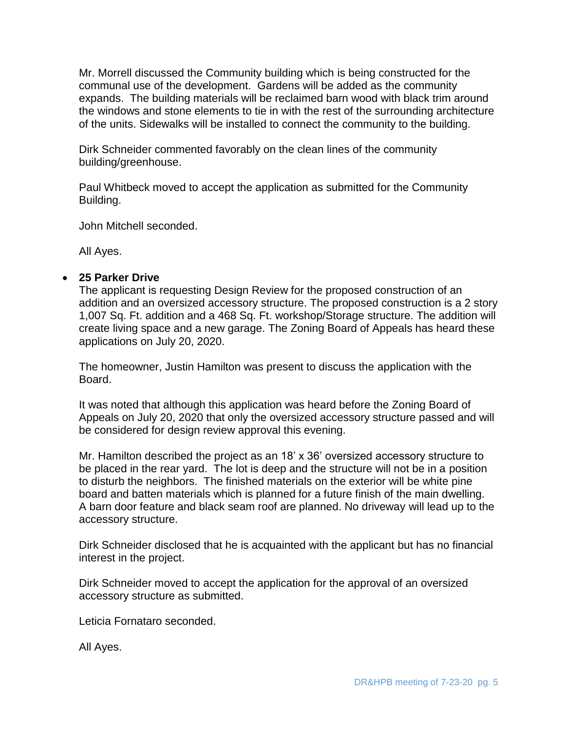Mr. Morrell discussed the Community building which is being constructed for the communal use of the development. Gardens will be added as the community expands. The building materials will be reclaimed barn wood with black trim around the windows and stone elements to tie in with the rest of the surrounding architecture of the units. Sidewalks will be installed to connect the community to the building.

Dirk Schneider commented favorably on the clean lines of the community building/greenhouse.

Paul Whitbeck moved to accept the application as submitted for the Community Building.

John Mitchell seconded.

All Ayes.

## **25 Parker Drive**

The applicant is requesting Design Review for the proposed construction of an addition and an oversized accessory structure. The proposed construction is a 2 story 1,007 Sq. Ft. addition and a 468 Sq. Ft. workshop/Storage structure. The addition will create living space and a new garage. The Zoning Board of Appeals has heard these applications on July 20, 2020.

The homeowner, Justin Hamilton was present to discuss the application with the Board.

It was noted that although this application was heard before the Zoning Board of Appeals on July 20, 2020 that only the oversized accessory structure passed and will be considered for design review approval this evening.

Mr. Hamilton described the project as an 18' x 36' oversized accessory structure to be placed in the rear yard. The lot is deep and the structure will not be in a position to disturb the neighbors. The finished materials on the exterior will be white pine board and batten materials which is planned for a future finish of the main dwelling. A barn door feature and black seam roof are planned. No driveway will lead up to the accessory structure.

Dirk Schneider disclosed that he is acquainted with the applicant but has no financial interest in the project.

Dirk Schneider moved to accept the application for the approval of an oversized accessory structure as submitted.

Leticia Fornataro seconded.

All Ayes.